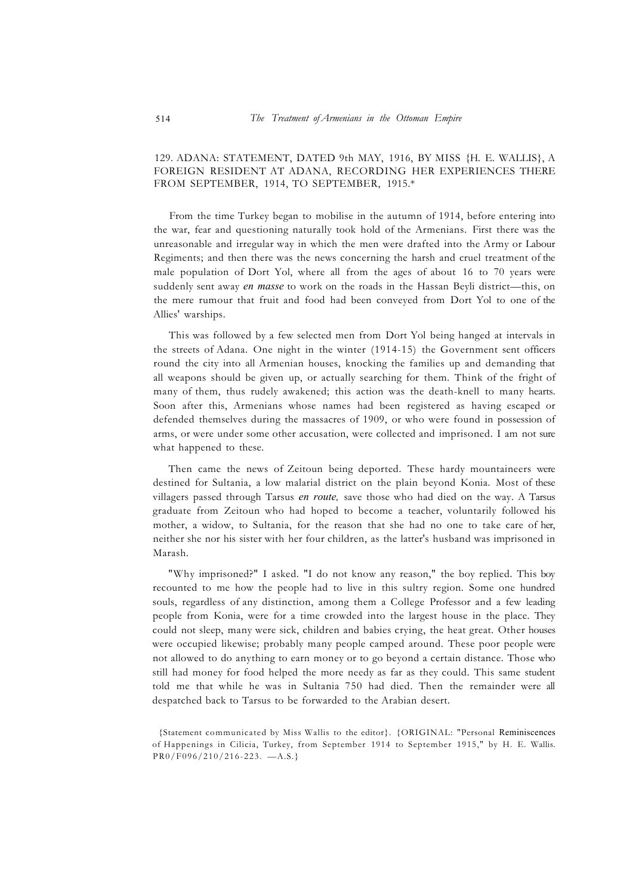## 129. ADANA: STATEMENT, DATED 9th MAY, 1916, BY MISS {H. E. WALLIS}, A FOREIGN RESIDENT AT ADANA, RECORDING HER EXPERIENCES THERE FROM SEPTEMBER, 1914, TO SEPTEMBER, 1915.\*

From the time Turkey began to mobilise in the autumn of 1914, before entering into the war, fear and questioning naturally took hold of the Armenians. First there was the unreasonable and irregular way in which the men were drafted into the Army or Labour Regiments; and then there was the news concerning the harsh and cruel treatment of the male population of Dort Yol, where all from the ages of about 16 to 70 years were suddenly sent away *en masse* to work on the roads in the Hassan Beyli district—this, on the mere rumour that fruit and food had been conveyed from Dort Yol to one of the Allies' warships.

This was followed by a few selected men from Dort Yol being hanged at intervals in the streets of Adana. One night in the winter (1914-15) the Government sent officers round the city into all Armenian houses, knocking the families up and demanding that all weapons should be given up, or actually searching for them. Think of the fright of many of them, thus rudely awakened; this action was the death-knell to many hearts. Soon after this, Armenians whose names had been registered as having escaped or defended themselves during the massacres of 1909, or who were found in possession of arms, or were under some other accusation, were collected and imprisoned. I am not sure what happened to these.

Then came the news of Zeitoun being deported. These hardy mountaineers were destined for Sultania, a low malarial district on the plain beyond Konia. Most of these villagers passed through Tarsus *en route,* save those who had died on the way. A Tarsus graduate from Zeitoun who had hoped to become a teacher, voluntarily followed his mother, a widow, to Sultania, for the reason that she had no one to take care of her, neither she nor his sister with her four children, as the latter's husband was imprisoned in Marash.

"Why imprisoned?" I asked. "I do not know any reason," the boy replied. This boy recounted to me how the people had to live in this sultry region. Some one hundred souls, regardless of any distinction, among them a College Professor and a few leading people from Konia, were for a time crowded into the largest house in the place. They could not sleep, many were sick, children and babies crying, the heat great. Other houses were occupied likewise; probably many people camped around. These poor people were not allowed to do anything to earn money or to go beyond a certain distance. Those who still had money for food helped the more needy as far as they could. This same student told me that while he was in Sultania 750 had died. Then the remainder were all despatched back to Tarsus to be forwarded to the Arabian desert.

<sup>{</sup>Statement communicated by Miss Wallis to the editor}. {ORIGINAL: "Personal Reminiscences of Happenings in Cilicia, Turkey, from September 1914 to September 1915," by H. E. Wallis. PR0/F096/210/216-223. —A.S.}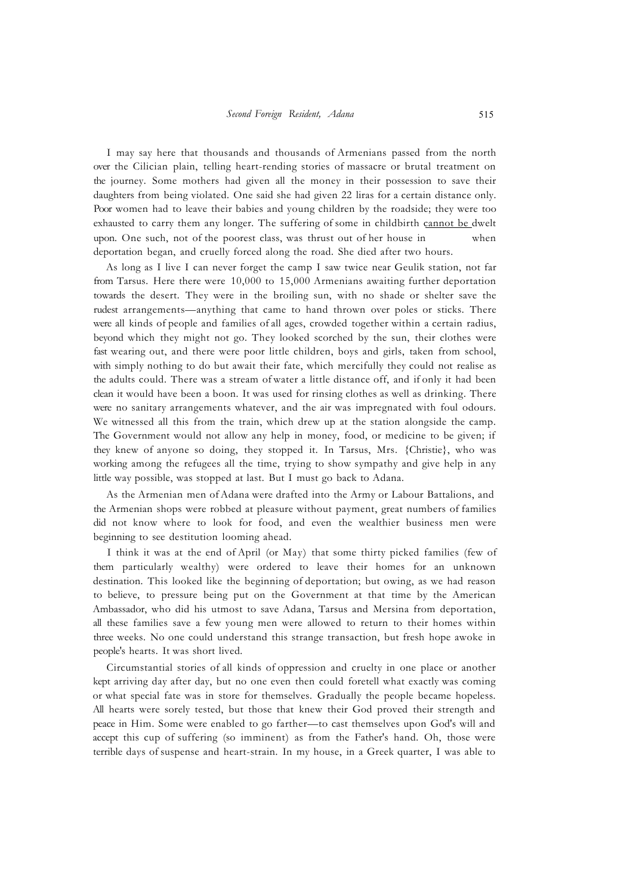I may say here that thousands and thousands of Armenians passed from the north over the Cilician plain, telling heart-rending stories of massacre or brutal treatment on the journey. Some mothers had given all the money in their possession to save their daughters from being violated. One said she had given 22 liras for a certain distance only. Poor women had to leave their babies and young children by the roadside; they were too exhausted to carry them any longer. The suffering of some in childbirth cannot be dwelt upon. One such, not of the poorest class, was thrust out of her house in when deportation began, and cruelly forced along the road. She died after two hours.

As long as I live I can never forget the camp I saw twice near Geulik station, not far from Tarsus. Here there were 10,000 to 15,000 Armenians awaiting further deportation towards the desert. They were in the broiling sun, with no shade or shelter save the rudest arrangements—anything that came to hand thrown over poles or sticks. There were all kinds of people and families of all ages, crowded together within a certain radius, beyond which they might not go. They looked scorched by the sun, their clothes were fast wearing out, and there were poor little children, boys and girls, taken from school, with simply nothing to do but await their fate, which mercifully they could not realise as the adults could. There was a stream of water a little distance off, and if only it had been clean it would have been a boon. It was used for rinsing clothes as well as drinking. There were no sanitary arrangements whatever, and the air was impregnated with foul odours. We witnessed all this from the train, which drew up at the station alongside the camp. The Government would not allow any help in money, food, or medicine to be given; if they knew of anyone so doing, they stopped it. In Tarsus, Mrs. {Christie}, who was working among the refugees all the time, trying to show sympathy and give help in any little way possible, was stopped at last. But I must go back to Adana.

As the Armenian men of Adana were drafted into the Army or Labour Battalions, and the Armenian shops were robbed at pleasure without payment, great numbers of families did not know where to look for food, and even the wealthier business men were beginning to see destitution looming ahead.

I think it was at the end of April (or May) that some thirty picked families (few of them particularly wealthy) were ordered to leave their homes for an unknown destination. This looked like the beginning of deportation; but owing, as we had reason to believe, to pressure being put on the Government at that time by the American Ambassador, who did his utmost to save Adana, Tarsus and Mersina from deportation, all these families save a few young men were allowed to return to their homes within three weeks. No one could understand this strange transaction, but fresh hope awoke in people's hearts. It was short lived.

Circumstantial stories of all kinds of oppression and cruelty in one place or another kept arriving day after day, but no one even then could foretell what exactly was coming or what special fate was in store for themselves. Gradually the people became hopeless. All hearts were sorely tested, but those that knew their God proved their strength and peace in Him. Some were enabled to go farther—to cast themselves upon God's will and accept this cup of suffering (so imminent) as from the Father's hand. Oh, those were terrible days of suspense and heart-strain. In my house, in a Greek quarter, I was able to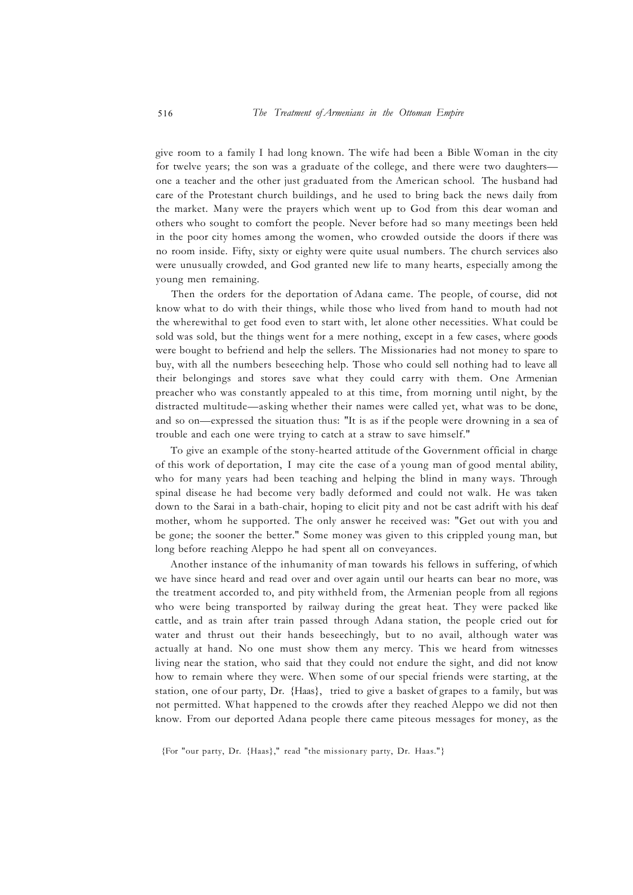give room to a family I had long known. The wife had been a Bible Woman in the city for twelve years; the son was a graduate of the college, and there were two daughters one a teacher and the other just graduated from the American school. The husband had care of the Protestant church buildings, and he used to bring back the news daily from the market. Many were the prayers which went up to God from this dear woman and others who sought to comfort the people. Never before had so many meetings been held in the poor city homes among the women, who crowded outside the doors if there was no room inside. Fifty, sixty or eighty were quite usual numbers. The church services also were unusually crowded, and God granted new life to many hearts, especially among the young men remaining.

Then the orders for the deportation of Adana came. The people, of course, did not know what to do with their things, while those who lived from hand to mouth had not the wherewithal to get food even to start with, let alone other necessities. What could be sold was sold, but the things went for a mere nothing, except in a few cases, where goods were bought to befriend and help the sellers. The Missionaries had not money to spare to buy, with all the numbers beseeching help. Those who could sell nothing had to leave all their belongings and stores save what they could carry with them. One Armenian preacher who was constantly appealed to at this time, from morning until night, by the distracted multitude—asking whether their names were called yet, what was to be done, and so on—expressed the situation thus: "It is as if the people were drowning in a sea of trouble and each one were trying to catch at a straw to save himself."

To give an example of the stony-hearted attitude of the Government official in charge of this work of deportation, I may cite the case of a young man of good mental ability, who for many years had been teaching and helping the blind in many ways. Through spinal disease he had become very badly deformed and could not walk. He was taken down to the Sarai in a bath-chair, hoping to elicit pity and not be cast adrift with his deaf mother, whom he supported. The only answer he received was: "Get out with you and be gone; the sooner the better." Some money was given to this crippled young man, but long before reaching Aleppo he had spent all on conveyances.

Another instance of the inhumanity of man towards his fellows in suffering, of which we have since heard and read over and over again until our hearts can bear no more, was the treatment accorded to, and pity withheld from, the Armenian people from all regions who were being transported by railway during the great heat. They were packed like cattle, and as train after train passed through Adana station, the people cried out for water and thrust out their hands beseechingly, but to no avail, although water was actually at hand. No one must show them any mercy. This we heard from witnesses living near the station, who said that they could not endure the sight, and did not know how to remain where they were. When some of our special friends were starting, at the station, one of our party, Dr. {Haas}, tried to give a basket of grapes to a family, but was not permitted. What happened to the crowds after they reached Aleppo we did not then know. From our deported Adana people there came piteous messages for money, as the

<sup>{</sup>For "our party, Dr. {Haas}," read "the missionary party, Dr. Haas."}